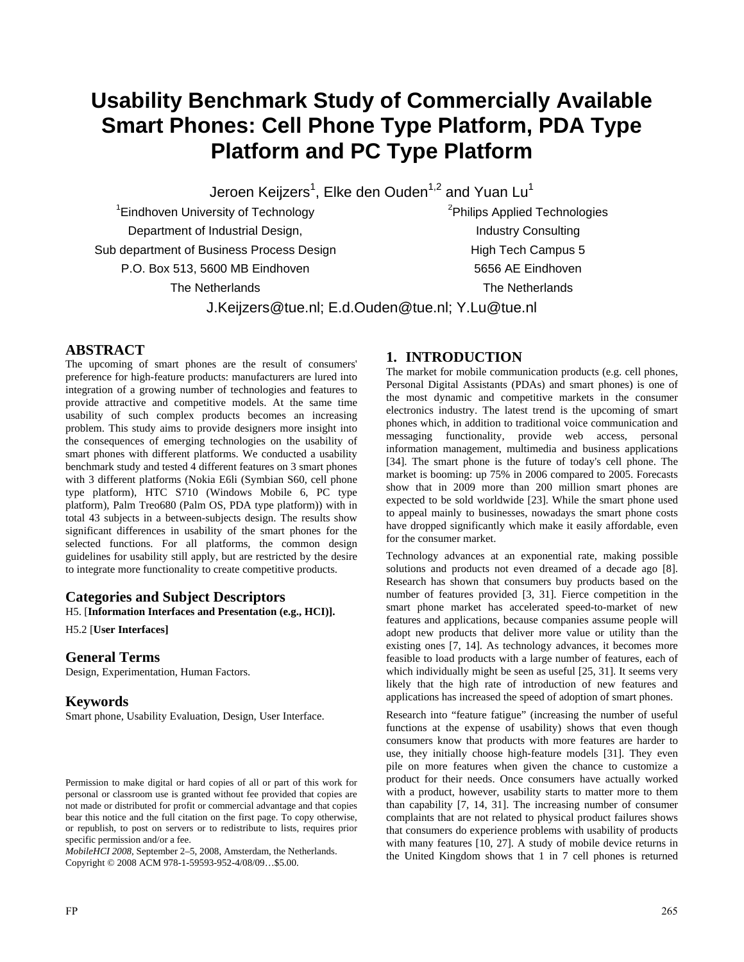# **Usability Benchmark Study of Commercially Available Smart Phones: Cell Phone Type Platform, PDA Type Platform and PC Type Platform**

Jeroen Keijzers $^{\rm 1}$ , Elke den Ouden $^{\rm 1,2}$  and Yuan Lu $^{\rm 1}$ 

<sup>1</sup> Eindhoven University of Technology Department of Industrial Design, Sub department of Business Process Design P.O. Box 513, 5600 MB Eindhoven The Netherlands

<sup>2</sup>Philips Applied Technologies Industry Consulting High Tech Campus 5 5656 AE Eindhoven The Netherlands

J.Keijzers@tue.nl; E.d.Ouden@tue.nl; Y.Lu@tue.nl

## **ABSTRACT**

The upcoming of smart phones are the result of consumers' preference for high-feature products: manufacturers are lured into integration of a growing number of technologies and features to provide attractive and competitive models. At the same time usability of such complex products becomes an increasing problem. This study aims to provide designers more insight into the consequences of emerging technologies on the usability of smart phones with different platforms. We conducted a usability benchmark study and tested 4 different features on 3 smart phones with 3 different platforms (Nokia E6li (Symbian S60, cell phone type platform), HTC S710 (Windows Mobile 6, PC type platform), Palm Treo680 (Palm OS, PDA type platform)) with in total 43 subjects in a between-subjects design. The results show significant differences in usability of the smart phones for the selected functions. For all platforms, the common design guidelines for usability still apply, but are restricted by the desire to integrate more functionality to create competitive products.

### **Categories and Subject Descriptors**

H5. [**Information Interfaces and Presentation (e.g., HCI)].** 

H5.2 [**User Interfaces]**

#### **General Terms**

Design, Experimentation, Human Factors.

#### **Keywords**

Smart phone, Usability Evaluation, Design, User Interface.

*MobileHCI 2008*, September 2–5, 2008, Amsterdam, the Netherlands. Copyright © 2008 ACM 978-1-59593-952-4/08/09…\$5.00.

# **1. INTRODUCTION**

The market for mobile communication products (e.g. cell phones, Personal Digital Assistants (PDAs) and smart phones) is one of the most dynamic and competitive markets in the consumer electronics industry. The latest trend is the upcoming of smart phones which, in addition to traditional voice communication and messaging functionality, provide web access, personal information management, multimedia and business applications [34]. The smart phone is the future of today's cell phone. The market is booming: up 75% in 2006 compared to 2005. Forecasts show that in 2009 more than 200 million smart phones are expected to be sold worldwide [23]. While the smart phone used to appeal mainly to businesses, nowadays the smart phone costs have dropped significantly which make it easily affordable, even for the consumer market.

Technology advances at an exponential rate, making possible solutions and products not even dreamed of a decade ago [8]. Research has shown that consumers buy products based on the number of features provided [3, 31]. Fierce competition in the smart phone market has accelerated speed-to-market of new features and applications, because companies assume people will adopt new products that deliver more value or utility than the existing ones [7, 14]. As technology advances, it becomes more feasible to load products with a large number of features, each of which individually might be seen as useful [25, 31]. It seems very likely that the high rate of introduction of new features and applications has increased the speed of adoption of smart phones.

Research into "feature fatigue" (increasing the number of useful functions at the expense of usability) shows that even though consumers know that products with more features are harder to use, they initially choose high-feature models [31]. They even pile on more features when given the chance to customize a product for their needs. Once consumers have actually worked with a product, however, usability starts to matter more to them than capability [7, 14, 31]. The increasing number of consumer complaints that are not related to physical product failures shows that consumers do experience problems with usability of products with many features [10, 27]. A study of mobile device returns in the United Kingdom shows that 1 in 7 cell phones is returned

Permission to make digital or hard copies of all or part of this work for personal or classroom use is granted without fee provided that copies are not made or distributed for profit or commercial advantage and that copies bear this notice and the full citation on the first page. To copy otherwise, or republish, to post on servers or to redistribute to lists, requires prior specific permission and/or a fee.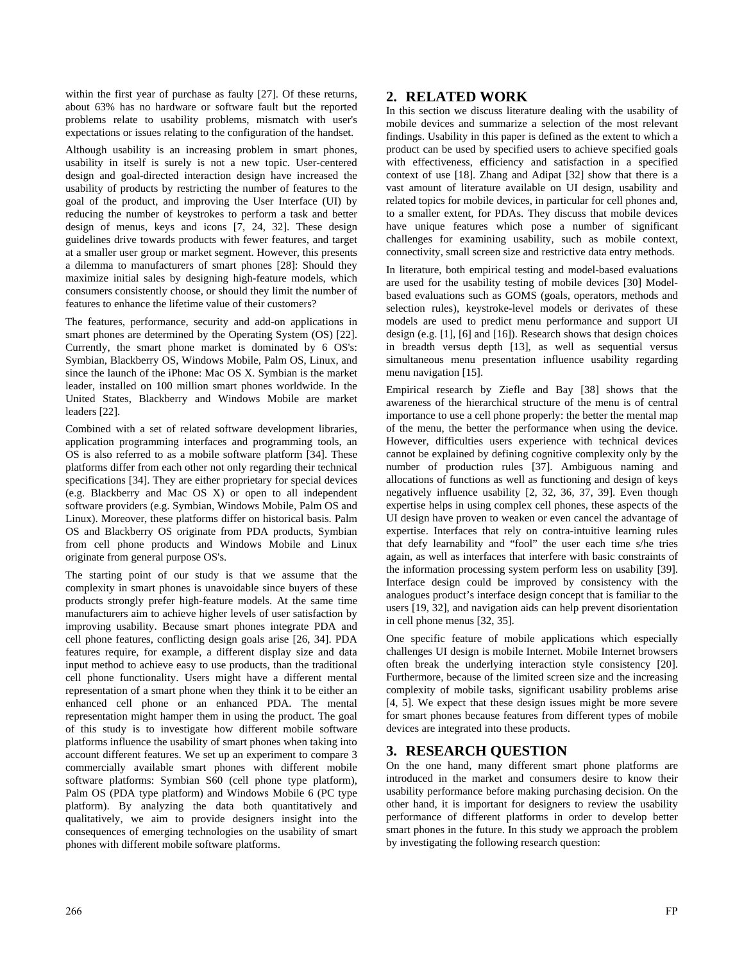within the first year of purchase as faulty [27]. Of these returns, about 63% has no hardware or software fault but the reported problems relate to usability problems, mismatch with user's expectations or issues relating to the configuration of the handset.

Although usability is an increasing problem in smart phones, usability in itself is surely is not a new topic. User-centered design and goal-directed interaction design have increased the usability of products by restricting the number of features to the goal of the product, and improving the User Interface (UI) by reducing the number of keystrokes to perform a task and better design of menus, keys and icons [7, 24, 32]. These design guidelines drive towards products with fewer features, and target at a smaller user group or market segment. However, this presents a dilemma to manufacturers of smart phones [28]: Should they maximize initial sales by designing high-feature models, which consumers consistently choose, or should they limit the number of features to enhance the lifetime value of their customers?

The features, performance, security and add-on applications in smart phones are determined by the Operating System (OS) [22]. Currently, the smart phone market is dominated by 6 OS's: Symbian, Blackberry OS, Windows Mobile, Palm OS, Linux, and since the launch of the iPhone: Mac OS X. Symbian is the market leader, installed on 100 million smart phones worldwide. In the United States, Blackberry and Windows Mobile are market leaders [22].

Combined with a set of related software development libraries, application programming interfaces and programming tools, an OS is also referred to as a mobile software platform [34]. These platforms differ from each other not only regarding their technical specifications [34]. They are either proprietary for special devices (e.g. Blackberry and Mac OS X) or open to all independent software providers (e.g. Symbian, Windows Mobile, Palm OS and Linux). Moreover, these platforms differ on historical basis. Palm OS and Blackberry OS originate from PDA products, Symbian from cell phone products and Windows Mobile and Linux originate from general purpose OS's.

The starting point of our study is that we assume that the complexity in smart phones is unavoidable since buyers of these products strongly prefer high-feature models. At the same time manufacturers aim to achieve higher levels of user satisfaction by improving usability. Because smart phones integrate PDA and cell phone features, conflicting design goals arise [26, 34]. PDA features require, for example, a different display size and data input method to achieve easy to use products, than the traditional cell phone functionality. Users might have a different mental representation of a smart phone when they think it to be either an enhanced cell phone or an enhanced PDA. The mental representation might hamper them in using the product. The goal of this study is to investigate how different mobile software platforms influence the usability of smart phones when taking into account different features. We set up an experiment to compare 3 commercially available smart phones with different mobile software platforms: Symbian S60 (cell phone type platform), Palm OS (PDA type platform) and Windows Mobile 6 (PC type platform). By analyzing the data both quantitatively and qualitatively, we aim to provide designers insight into the consequences of emerging technologies on the usability of smart phones with different mobile software platforms.

## **2. RELATED WORK**

In this section we discuss literature dealing with the usability of mobile devices and summarize a selection of the most relevant findings. Usability in this paper is defined as the extent to which a product can be used by specified users to achieve specified goals with effectiveness, efficiency and satisfaction in a specified context of use [18]. Zhang and Adipat [32] show that there is a vast amount of literature available on UI design, usability and related topics for mobile devices, in particular for cell phones and, to a smaller extent, for PDAs. They discuss that mobile devices have unique features which pose a number of significant challenges for examining usability, such as mobile context, connectivity, small screen size and restrictive data entry methods.

In literature, both empirical testing and model-based evaluations are used for the usability testing of mobile devices [30] Modelbased evaluations such as GOMS (goals, operators, methods and selection rules), keystroke-level models or derivates of these models are used to predict menu performance and support UI design (e.g. [1], [6] and [16]). Research shows that design choices in breadth versus depth [13], as well as sequential versus simultaneous menu presentation influence usability regarding menu navigation [15].

Empirical research by Ziefle and Bay [38] shows that the awareness of the hierarchical structure of the menu is of central importance to use a cell phone properly: the better the mental map of the menu, the better the performance when using the device. However, difficulties users experience with technical devices cannot be explained by defining cognitive complexity only by the number of production rules [37]. Ambiguous naming and allocations of functions as well as functioning and design of keys negatively influence usability [2, 32, 36, 37, 39]. Even though expertise helps in using complex cell phones, these aspects of the UI design have proven to weaken or even cancel the advantage of expertise. Interfaces that rely on contra-intuitive learning rules that defy learnability and "fool" the user each time s/he tries again, as well as interfaces that interfere with basic constraints of the information processing system perform less on usability [39]. Interface design could be improved by consistency with the analogues product's interface design concept that is familiar to the users [19, 32], and navigation aids can help prevent disorientation in cell phone menus [32, 35].

One specific feature of mobile applications which especially challenges UI design is mobile Internet. Mobile Internet browsers often break the underlying interaction style consistency [20]. Furthermore, because of the limited screen size and the increasing complexity of mobile tasks, significant usability problems arise [4, 5]. We expect that these design issues might be more severe for smart phones because features from different types of mobile devices are integrated into these products.

# **3. RESEARCH QUESTION**

On the one hand, many different smart phone platforms are introduced in the market and consumers desire to know their usability performance before making purchasing decision. On the other hand, it is important for designers to review the usability performance of different platforms in order to develop better smart phones in the future. In this study we approach the problem by investigating the following research question: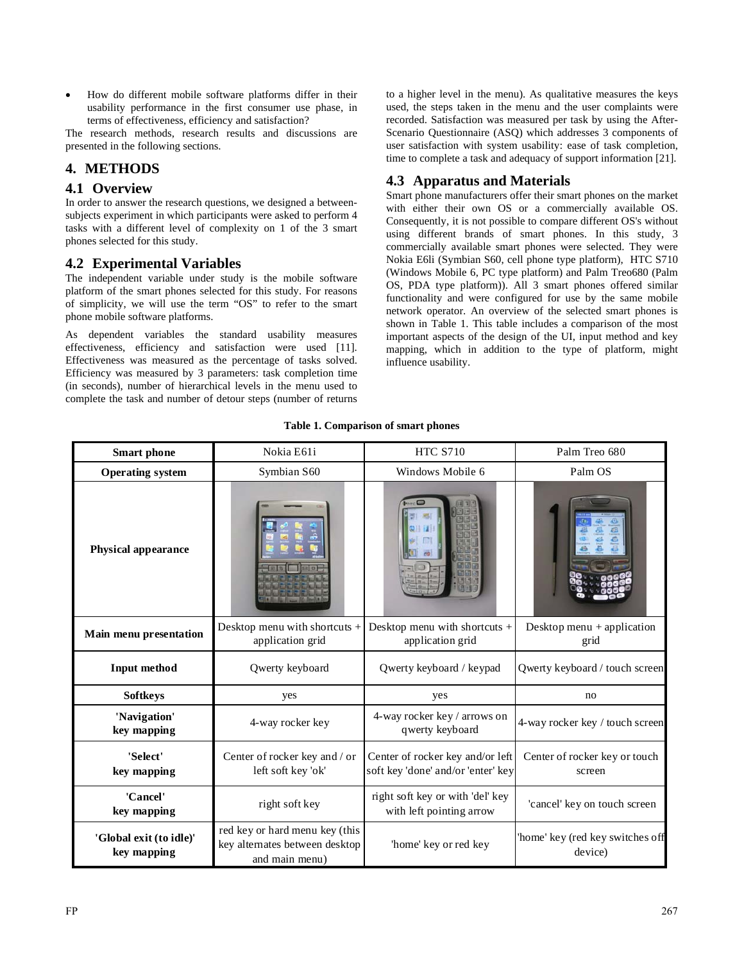• How do different mobile software platforms differ in their usability performance in the first consumer use phase, in terms of effectiveness, efficiency and satisfaction?

The research methods, research results and discussions are presented in the following sections.

## **4. METHODS**

## **4.1 Overview**

In order to answer the research questions, we designed a betweensubjects experiment in which participants were asked to perform 4 tasks with a different level of complexity on 1 of the 3 smart phones selected for this study.

## **4.2 Experimental Variables**

The independent variable under study is the mobile software platform of the smart phones selected for this study. For reasons of simplicity, we will use the term "OS" to refer to the smart phone mobile software platforms.

As dependent variables the standard usability measures effectiveness, efficiency and satisfaction were used [11]. Effectiveness was measured as the percentage of tasks solved. Efficiency was measured by 3 parameters: task completion time (in seconds), number of hierarchical levels in the menu used to complete the task and number of detour steps (number of returns to a higher level in the menu). As qualitative measures the keys used, the steps taken in the menu and the user complaints were recorded. Satisfaction was measured per task by using the After-Scenario Questionnaire (ASQ) which addresses 3 components of user satisfaction with system usability: ease of task completion, time to complete a task and adequacy of support information [21].

# **4.3 Apparatus and Materials**

Smart phone manufacturers offer their smart phones on the market with either their own OS or a commercially available OS. Consequently, it is not possible to compare different OS's without using different brands of smart phones. In this study, 3 commercially available smart phones were selected. They were Nokia E6li (Symbian S60, cell phone type platform), HTC S710 (Windows Mobile 6, PC type platform) and Palm Treo680 (Palm OS, PDA type platform)). All 3 smart phones offered similar functionality and were configured for use by the same mobile network operator. An overview of the selected smart phones is shown in Table 1. This table includes a comparison of the most important aspects of the design of the UI, input method and key mapping, which in addition to the type of platform, might influence usability.

| <b>Smart</b> phone                     | Nokia E61i                                                                         | <b>HTC S710</b>                                                        | Palm Treo 680                               |
|----------------------------------------|------------------------------------------------------------------------------------|------------------------------------------------------------------------|---------------------------------------------|
| <b>Operating system</b>                | Symbian S60                                                                        | Windows Mobile 6                                                       | Palm OS                                     |
| <b>Physical appearance</b>             |                                                                                    |                                                                        |                                             |
| Main menu presentation                 | Desktop menu with shortcuts +<br>application grid                                  | Desktop menu with shortcuts +<br>application grid                      | Desktop menu $+$ application<br>grid        |
| <b>Input method</b>                    | Qwerty keyboard                                                                    | Qwerty keyboard / keypad                                               | Qwerty keyboard / touch screen              |
| <b>Softkeys</b>                        | yes                                                                                | yes                                                                    | no                                          |
| 'Navigation'<br>key mapping            | 4-way rocker key                                                                   | 4-way rocker key / arrows on<br>qwerty keyboard                        | 4-way rocker key / touch screen             |
| 'Select'<br>key mapping                | Center of rocker key and / or<br>left soft key 'ok'                                | Center of rocker key and/or left<br>soft key 'done' and/or 'enter' key | Center of rocker key or touch<br>screen     |
| 'Cancel'<br>key mapping                | right soft key                                                                     | right soft key or with 'del' key<br>with left pointing arrow           | 'cancel' key on touch screen                |
| 'Global exit (to idle)'<br>key mapping | red key or hard menu key (this<br>key alternates between desktop<br>and main menu) | 'home' key or red key                                                  | 'home' key (red key switches off<br>device) |

**Table 1. Comparison of smart phones**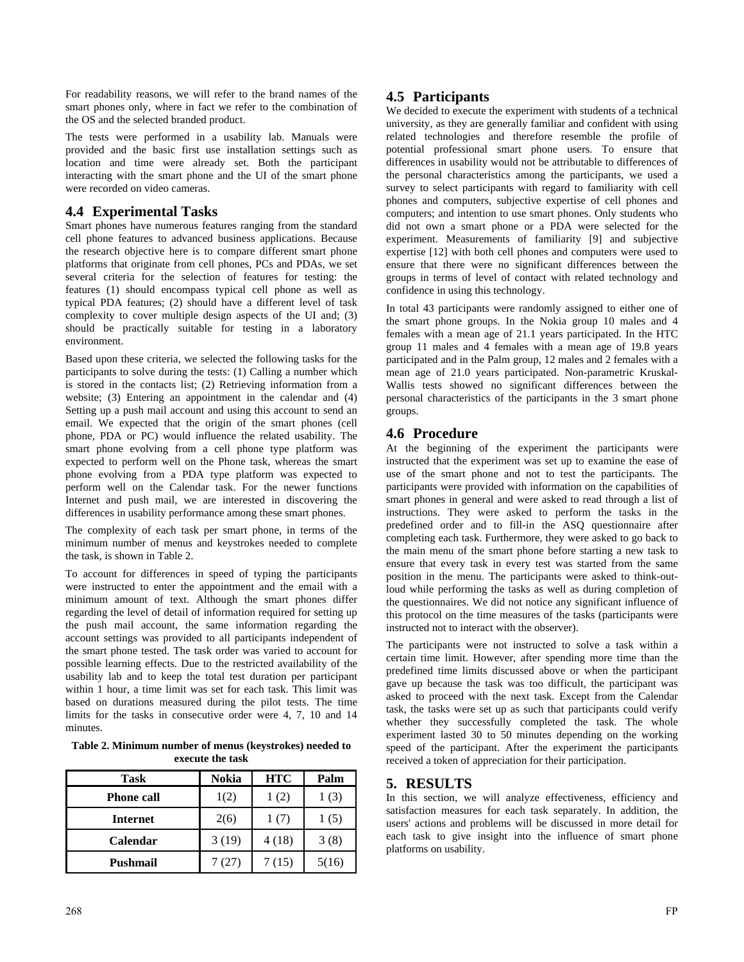For readability reasons, we will refer to the brand names of the smart phones only, where in fact we refer to the combination of the OS and the selected branded product.

The tests were performed in a usability lab. Manuals were provided and the basic first use installation settings such as location and time were already set. Both the participant interacting with the smart phone and the UI of the smart phone were recorded on video cameras.

# **4.4 Experimental Tasks**

Smart phones have numerous features ranging from the standard cell phone features to advanced business applications. Because the research objective here is to compare different smart phone platforms that originate from cell phones, PCs and PDAs, we set several criteria for the selection of features for testing: the features (1) should encompass typical cell phone as well as typical PDA features; (2) should have a different level of task complexity to cover multiple design aspects of the UI and; (3) should be practically suitable for testing in a laboratory environment.

Based upon these criteria, we selected the following tasks for the participants to solve during the tests: (1) Calling a number which is stored in the contacts list; (2) Retrieving information from a website; (3) Entering an appointment in the calendar and (4) Setting up a push mail account and using this account to send an email. We expected that the origin of the smart phones (cell phone, PDA or PC) would influence the related usability. The smart phone evolving from a cell phone type platform was expected to perform well on the Phone task, whereas the smart phone evolving from a PDA type platform was expected to perform well on the Calendar task. For the newer functions Internet and push mail, we are interested in discovering the differences in usability performance among these smart phones.

The complexity of each task per smart phone, in terms of the minimum number of menus and keystrokes needed to complete the task, is shown in Table 2.

To account for differences in speed of typing the participants were instructed to enter the appointment and the email with a minimum amount of text. Although the smart phones differ regarding the level of detail of information required for setting up the push mail account, the same information regarding the account settings was provided to all participants independent of the smart phone tested. The task order was varied to account for possible learning effects. Due to the restricted availability of the usability lab and to keep the total test duration per participant within 1 hour, a time limit was set for each task. This limit was based on durations measured during the pilot tests. The time limits for the tasks in consecutive order were 4, 7, 10 and 14 minutes.

**Table 2. Minimum number of menus (keystrokes) needed to execute the task** 

| <b>Task</b>       | Nokia | <b>HTC</b> | Palm  |
|-------------------|-------|------------|-------|
| <b>Phone call</b> | 1(2)  | 1(2)       | 1(3)  |
| <b>Internet</b>   | 2(6)  | 1(7)       | 1(5)  |
| <b>Calendar</b>   | 3(19) | 4(18)      | 3(8)  |
| Pushmail          | (27)  | 7 (15)     | 5(16) |

# **4.5 Participants**

We decided to execute the experiment with students of a technical university, as they are generally familiar and confident with using related technologies and therefore resemble the profile of potential professional smart phone users. To ensure that differences in usability would not be attributable to differences of the personal characteristics among the participants, we used a survey to select participants with regard to familiarity with cell phones and computers, subjective expertise of cell phones and computers; and intention to use smart phones. Only students who did not own a smart phone or a PDA were selected for the experiment. Measurements of familiarity [9] and subjective expertise [12] with both cell phones and computers were used to ensure that there were no significant differences between the groups in terms of level of contact with related technology and confidence in using this technology.

In total 43 participants were randomly assigned to either one of the smart phone groups. In the Nokia group 10 males and 4 females with a mean age of 21.1 years participated. In the HTC group 11 males and 4 females with a mean age of 19.8 years participated and in the Palm group, 12 males and 2 females with a mean age of 21.0 years participated. Non-parametric Kruskal-Wallis tests showed no significant differences between the personal characteristics of the participants in the 3 smart phone groups.

# **4.6 Procedure**

At the beginning of the experiment the participants were instructed that the experiment was set up to examine the ease of use of the smart phone and not to test the participants. The participants were provided with information on the capabilities of smart phones in general and were asked to read through a list of instructions. They were asked to perform the tasks in the predefined order and to fill-in the ASQ questionnaire after completing each task. Furthermore, they were asked to go back to the main menu of the smart phone before starting a new task to ensure that every task in every test was started from the same position in the menu. The participants were asked to think-outloud while performing the tasks as well as during completion of the questionnaires. We did not notice any significant influence of this protocol on the time measures of the tasks (participants were instructed not to interact with the observer).

The participants were not instructed to solve a task within a certain time limit. However, after spending more time than the predefined time limits discussed above or when the participant gave up because the task was too difficult, the participant was asked to proceed with the next task. Except from the Calendar task, the tasks were set up as such that participants could verify whether they successfully completed the task. The whole experiment lasted 30 to 50 minutes depending on the working speed of the participant. After the experiment the participants received a token of appreciation for their participation.

# **5. RESULTS**

In this section, we will analyze effectiveness, efficiency and satisfaction measures for each task separately. In addition, the users' actions and problems will be discussed in more detail for each task to give insight into the influence of smart phone platforms on usability.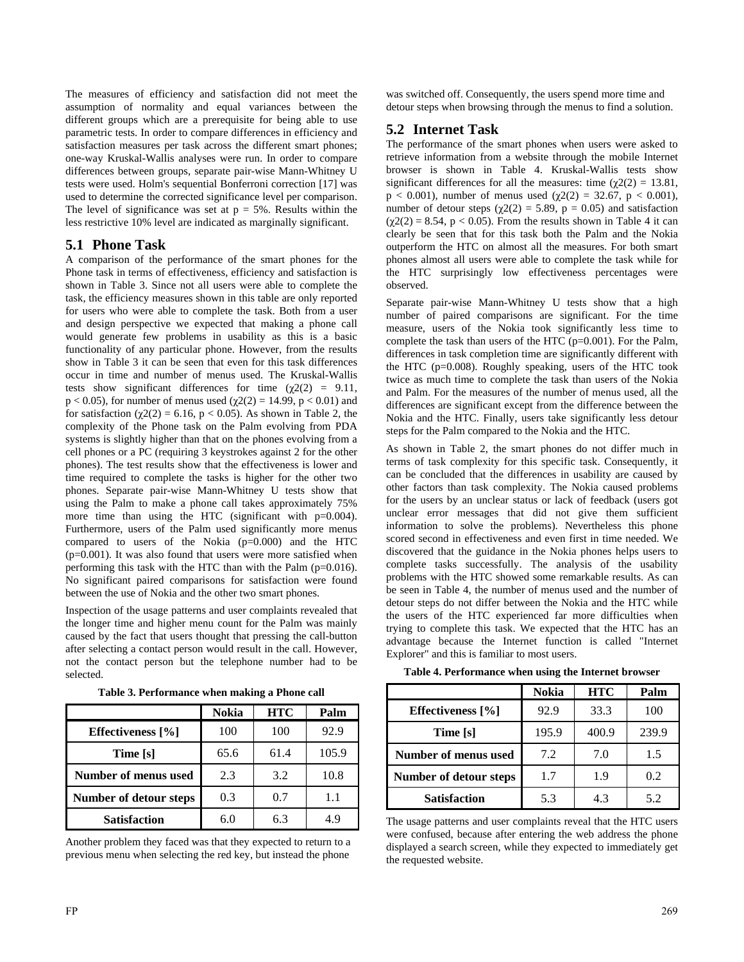The measures of efficiency and satisfaction did not meet the assumption of normality and equal variances between the different groups which are a prerequisite for being able to use parametric tests. In order to compare differences in efficiency and satisfaction measures per task across the different smart phones; one-way Kruskal-Wallis analyses were run. In order to compare differences between groups, separate pair-wise Mann-Whitney U tests were used. Holm's sequential Bonferroni correction [17] was used to determine the corrected significance level per comparison. The level of significance was set at  $p = 5\%$ . Results within the less restrictive 10% level are indicated as marginally significant.

## **5.1 Phone Task**

A comparison of the performance of the smart phones for the Phone task in terms of effectiveness, efficiency and satisfaction is shown in Table 3. Since not all users were able to complete the task, the efficiency measures shown in this table are only reported for users who were able to complete the task. Both from a user and design perspective we expected that making a phone call would generate few problems in usability as this is a basic functionality of any particular phone. However, from the results show in Table 3 it can be seen that even for this task differences occur in time and number of menus used. The Kruskal-Wallis tests show significant differences for time  $(\chi^2)(2) = 9.11$ ,  $p < 0.05$ ), for number of menus used ( $χ2(2) = 14.99$ ,  $p < 0.01$ ) and for satisfaction ( $\chi$ 2(2) = 6.16, p < 0.05). As shown in Table 2, the complexity of the Phone task on the Palm evolving from PDA systems is slightly higher than that on the phones evolving from a cell phones or a PC (requiring 3 keystrokes against 2 for the other phones). The test results show that the effectiveness is lower and time required to complete the tasks is higher for the other two phones. Separate pair-wise Mann-Whitney U tests show that using the Palm to make a phone call takes approximately 75% more time than using the HTC (significant with  $p=0.004$ ). Furthermore, users of the Palm used significantly more menus compared to users of the Nokia (p=0.000) and the HTC (p=0.001). It was also found that users were more satisfied when performing this task with the HTC than with the Palm (p=0.016). No significant paired comparisons for satisfaction were found between the use of Nokia and the other two smart phones.

Inspection of the usage patterns and user complaints revealed that the longer time and higher menu count for the Palm was mainly caused by the fact that users thought that pressing the call-button after selecting a contact person would result in the call. However, not the contact person but the telephone number had to be selected.

|                        | <b>Nokia</b> | <b>HTC</b> | Palm  |
|------------------------|--------------|------------|-------|
| Effectiveness [%]      | 100          | 100        | 92.9  |
| Time [s]               | 65.6         | 61.4       | 105.9 |
| Number of menus used   | 2.3          | 3.2        | 10.8  |
| Number of detour steps | 0.3          | 0.7        | 1.1   |
| <b>Satisfaction</b>    | 6.0          | 6.3        | 4.9   |

**Table 3. Performance when making a Phone call** 

Another problem they faced was that they expected to return to a previous menu when selecting the red key, but instead the phone

was switched off. Consequently, the users spend more time and detour steps when browsing through the menus to find a solution.

## **5.2 Internet Task**

The performance of the smart phones when users were asked to retrieve information from a website through the mobile Internet browser is shown in Table 4. Kruskal-Wallis tests show significant differences for all the measures: time ( $\gamma$ 2(2) = 13.81, p < 0.001), number of menus used ( $\chi$ 2(2) = 32.67, p < 0.001), number of detour steps ( $\chi$ 2(2) = 5.89, p = 0.05) and satisfaction  $(\chi/2(2) = 8.54, p < 0.05)$ . From the results shown in Table 4 it can clearly be seen that for this task both the Palm and the Nokia outperform the HTC on almost all the measures. For both smart phones almost all users were able to complete the task while for the HTC surprisingly low effectiveness percentages were observed.

Separate pair-wise Mann-Whitney U tests show that a high number of paired comparisons are significant. For the time measure, users of the Nokia took significantly less time to complete the task than users of the HTC (p=0.001). For the Palm, differences in task completion time are significantly different with the HTC (p=0.008). Roughly speaking, users of the HTC took twice as much time to complete the task than users of the Nokia and Palm. For the measures of the number of menus used, all the differences are significant except from the difference between the Nokia and the HTC. Finally, users take significantly less detour steps for the Palm compared to the Nokia and the HTC.

As shown in Table 2, the smart phones do not differ much in terms of task complexity for this specific task. Consequently, it can be concluded that the differences in usability are caused by other factors than task complexity. The Nokia caused problems for the users by an unclear status or lack of feedback (users got unclear error messages that did not give them sufficient information to solve the problems). Nevertheless this phone scored second in effectiveness and even first in time needed. We discovered that the guidance in the Nokia phones helps users to complete tasks successfully. The analysis of the usability problems with the HTC showed some remarkable results. As can be seen in Table 4, the number of menus used and the number of detour steps do not differ between the Nokia and the HTC while the users of the HTC experienced far more difficulties when trying to complete this task. We expected that the HTC has an advantage because the Internet function is called "Internet Explorer" and this is familiar to most users.

|                        | <b>Nokia</b> | <b>HTC</b> | Palm  |
|------------------------|--------------|------------|-------|
| Effectiveness [%]      | 92.9         | 33.3       | 100   |
| Time [s]               | 195.9        | 400.9      | 239.9 |
| Number of menus used   | 7.2          | 7.0        | 1.5   |
| Number of detour steps | 1.7          | 1.9        | 0.2   |
| <b>Satisfaction</b>    | 5.3          | 4.3        | 5.2   |

The usage patterns and user complaints reveal that the HTC users were confused, because after entering the web address the phone displayed a search screen, while they expected to immediately get the requested website.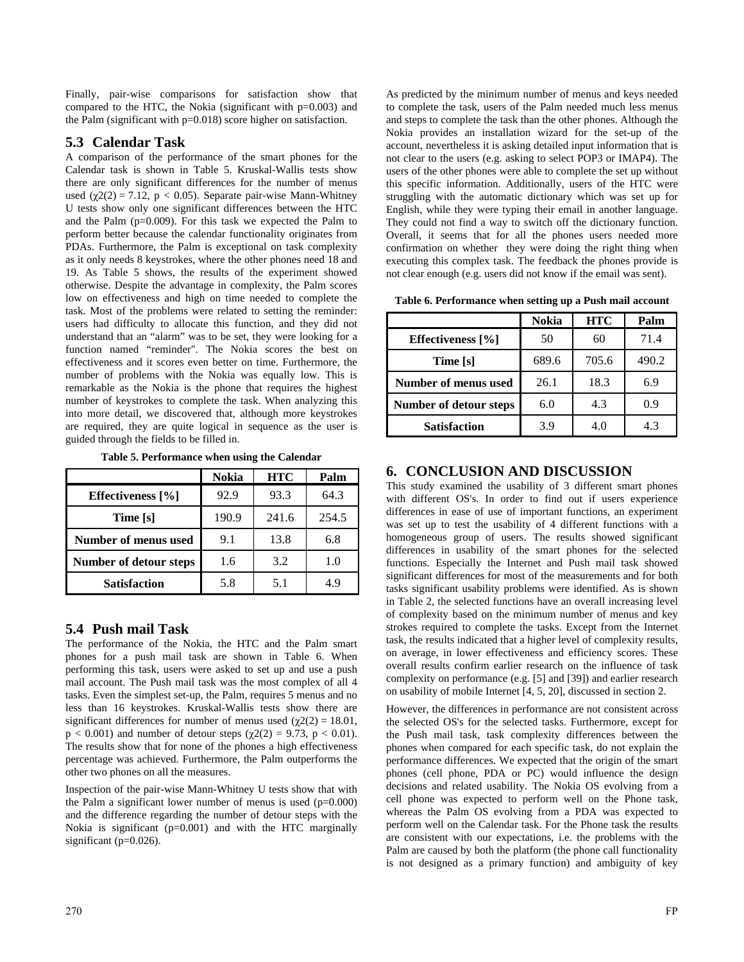Finally, pair-wise comparisons for satisfaction show that compared to the HTC, the Nokia (significant with  $p=0.003$ ) and the Palm (significant with  $p=0.018$ ) score higher on satisfaction.

## **5.3 Calendar Task**

A comparison of the performance of the smart phones for the Calendar task is shown in Table 5. Kruskal-Wallis tests show there are only significant differences for the number of menus used ( $\chi$ 2(2) = 7.12, p < 0.05). Separate pair-wise Mann-Whitney U tests show only one significant differences between the HTC and the Palm (p=0.009). For this task we expected the Palm to perform better because the calendar functionality originates from PDAs. Furthermore, the Palm is exceptional on task complexity as it only needs 8 keystrokes, where the other phones need 18 and 19. As Table 5 shows, the results of the experiment showed otherwise. Despite the advantage in complexity, the Palm scores low on effectiveness and high on time needed to complete the task. Most of the problems were related to setting the reminder: users had difficulty to allocate this function, and they did not understand that an "alarm" was to be set, they were looking for a function named "reminder". The Nokia scores the best on effectiveness and it scores even better on time. Furthermore, the number of problems with the Nokia was equally low. This is remarkable as the Nokia is the phone that requires the highest number of keystrokes to complete the task. When analyzing this into more detail, we discovered that, although more keystrokes are required, they are quite logical in sequence as the user is guided through the fields to be filled in.

**Table 5. Performance when using the Calendar** 

|                        | Nokia | <b>HTC</b> | Palm  |
|------------------------|-------|------------|-------|
| Effectiveness [%]      | 92.9  | 93.3       | 64.3  |
| Time [s]               | 190.9 | 241.6      | 254.5 |
| Number of menus used   | 9.1   | 13.8       | 6.8   |
| Number of detour steps | 1.6   | 3.2        | 1.0   |
| <b>Satisfaction</b>    | 5.8   | 5.1        | 4.9   |

## **5.4 Push mail Task**

The performance of the Nokia, the HTC and the Palm smart phones for a push mail task are shown in Table 6. When performing this task, users were asked to set up and use a push mail account. The Push mail task was the most complex of all 4 tasks. Even the simplest set-up, the Palm, requires 5 menus and no less than 16 keystrokes. Kruskal-Wallis tests show there are significant differences for number of menus used ( $\chi$ 2(2) = 18.01,  $p < 0.001$ ) and number of detour steps (χ2(2) = 9.73, p < 0.01). The results show that for none of the phones a high effectiveness percentage was achieved. Furthermore, the Palm outperforms the other two phones on all the measures.

Inspection of the pair-wise Mann-Whitney U tests show that with the Palm a significant lower number of menus is used  $(p=0.000)$ and the difference regarding the number of detour steps with the Nokia is significant  $(p=0.001)$  and with the HTC marginally significant (p=0.026).

As predicted by the minimum number of menus and keys needed to complete the task, users of the Palm needed much less menus and steps to complete the task than the other phones. Although the Nokia provides an installation wizard for the set-up of the account, nevertheless it is asking detailed input information that is not clear to the users (e.g. asking to select POP3 or IMAP4). The users of the other phones were able to complete the set up without this specific information. Additionally, users of the HTC were struggling with the automatic dictionary which was set up for English, while they were typing their email in another language. They could not find a way to switch off the dictionary function. Overall, it seems that for all the phones users needed more confirmation on whether they were doing the right thing when executing this complex task. The feedback the phones provide is not clear enough (e.g. users did not know if the email was sent).

**Table 6. Performance when setting up a Push mail account** 

|                        | <b>Nokia</b> | <b>HTC</b> | Palm  |
|------------------------|--------------|------------|-------|
| Effectiveness [%]      | 50           | 60         | 71.4  |
| Time [s]               | 689.6        | 705.6      | 490.2 |
| Number of menus used   | 26.1         | 18.3       | 6.9   |
| Number of detour steps | 6.0          | 4.3        | 0.9   |
| <b>Satisfaction</b>    | 3.9          | 4.0        | 4.3   |

# **6. CONCLUSION AND DISCUSSION**

This study examined the usability of 3 different smart phones with different OS's. In order to find out if users experience differences in ease of use of important functions, an experiment was set up to test the usability of 4 different functions with a homogeneous group of users. The results showed significant differences in usability of the smart phones for the selected functions. Especially the Internet and Push mail task showed significant differences for most of the measurements and for both tasks significant usability problems were identified. As is shown in Table 2, the selected functions have an overall increasing level of complexity based on the minimum number of menus and key strokes required to complete the tasks. Except from the Internet task, the results indicated that a higher level of complexity results, on average, in lower effectiveness and efficiency scores. These overall results confirm earlier research on the influence of task complexity on performance (e.g. [5] and [39]) and earlier research on usability of mobile Internet [4, 5, 20], discussed in section 2.

However, the differences in performance are not consistent across the selected OS's for the selected tasks. Furthermore, except for the Push mail task, task complexity differences between the phones when compared for each specific task, do not explain the performance differences. We expected that the origin of the smart phones (cell phone, PDA or PC) would influence the design decisions and related usability. The Nokia OS evolving from a cell phone was expected to perform well on the Phone task, whereas the Palm OS evolving from a PDA was expected to perform well on the Calendar task. For the Phone task the results are consistent with our expectations, i.e. the problems with the Palm are caused by both the platform (the phone call functionality is not designed as a primary function) and ambiguity of key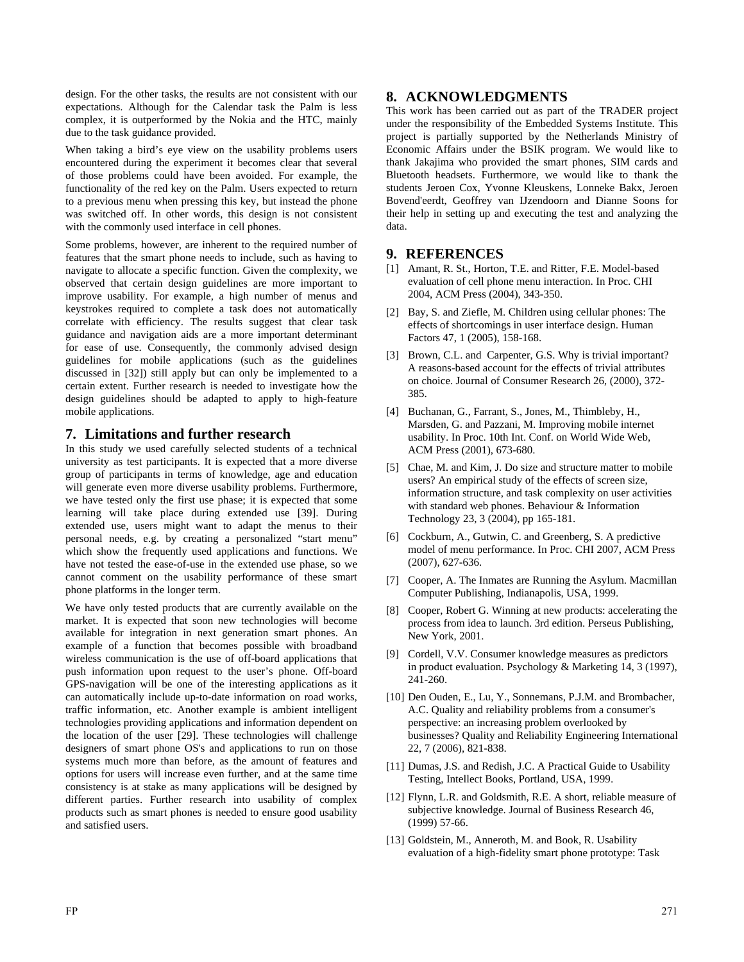design. For the other tasks, the results are not consistent with our expectations. Although for the Calendar task the Palm is less complex, it is outperformed by the Nokia and the HTC, mainly due to the task guidance provided.

When taking a bird's eye view on the usability problems users encountered during the experiment it becomes clear that several of those problems could have been avoided. For example, the functionality of the red key on the Palm. Users expected to return to a previous menu when pressing this key, but instead the phone was switched off. In other words, this design is not consistent with the commonly used interface in cell phones.

Some problems, however, are inherent to the required number of features that the smart phone needs to include, such as having to navigate to allocate a specific function. Given the complexity, we observed that certain design guidelines are more important to improve usability. For example, a high number of menus and keystrokes required to complete a task does not automatically correlate with efficiency. The results suggest that clear task guidance and navigation aids are a more important determinant for ease of use. Consequently, the commonly advised design guidelines for mobile applications (such as the guidelines discussed in [32]) still apply but can only be implemented to a certain extent. Further research is needed to investigate how the design guidelines should be adapted to apply to high-feature mobile applications.

#### **7. Limitations and further research**

In this study we used carefully selected students of a technical university as test participants. It is expected that a more diverse group of participants in terms of knowledge, age and education will generate even more diverse usability problems. Furthermore, we have tested only the first use phase; it is expected that some learning will take place during extended use [39]. During extended use, users might want to adapt the menus to their personal needs, e.g. by creating a personalized "start menu" which show the frequently used applications and functions. We have not tested the ease-of-use in the extended use phase, so we cannot comment on the usability performance of these smart phone platforms in the longer term.

We have only tested products that are currently available on the market. It is expected that soon new technologies will become available for integration in next generation smart phones. An example of a function that becomes possible with broadband wireless communication is the use of off-board applications that push information upon request to the user's phone. Off-board GPS-navigation will be one of the interesting applications as it can automatically include up-to-date information on road works, traffic information, etc. Another example is ambient intelligent technologies providing applications and information dependent on the location of the user [29]. These technologies will challenge designers of smart phone OS's and applications to run on those systems much more than before, as the amount of features and options for users will increase even further, and at the same time consistency is at stake as many applications will be designed by different parties. Further research into usability of complex products such as smart phones is needed to ensure good usability and satisfied users.

## **8. ACKNOWLEDGMENTS**

This work has been carried out as part of the TRADER project under the responsibility of the Embedded Systems Institute. This project is partially supported by the Netherlands Ministry of Economic Affairs under the BSIK program. We would like to thank Jakajima who provided the smart phones, SIM cards and Bluetooth headsets. Furthermore, we would like to thank the students Jeroen Cox, Yvonne Kleuskens, Lonneke Bakx, Jeroen Bovend'eerdt, Geoffrey van IJzendoorn and Dianne Soons for their help in setting up and executing the test and analyzing the data.

## **9. REFERENCES**

- [1] Amant, R. St., Horton, T.E. and Ritter, F.E. Model-based evaluation of cell phone menu interaction. In Proc. CHI 2004, ACM Press (2004), 343-350.
- [2] Bay, S. and Ziefle, M. Children using cellular phones: The effects of shortcomings in user interface design. Human Factors 47, 1 (2005), 158-168.
- [3] Brown, C.L. and Carpenter, G.S. Why is trivial important? A reasons-based account for the effects of trivial attributes on choice. Journal of Consumer Research 26, (2000), 372- 385.
- [4] Buchanan, G., Farrant, S., Jones, M., Thimbleby, H., Marsden, G. and Pazzani, M. Improving mobile internet usability. In Proc. 10th Int. Conf. on World Wide Web, ACM Press (2001), 673-680.
- [5] Chae, M. and Kim, J. Do size and structure matter to mobile users? An empirical study of the effects of screen size, information structure, and task complexity on user activities with standard web phones. Behaviour & Information Technology 23, 3 (2004), pp 165-181.
- [6] Cockburn, A., Gutwin, C. and Greenberg, S. A predictive model of menu performance. In Proc. CHI 2007, ACM Press (2007), 627-636.
- [7] Cooper, A. The Inmates are Running the Asylum. Macmillan Computer Publishing, Indianapolis, USA, 1999.
- [8] Cooper, Robert G. Winning at new products: accelerating the process from idea to launch. 3rd edition. Perseus Publishing, New York, 2001.
- [9] Cordell, V.V. Consumer knowledge measures as predictors in product evaluation. Psychology & Marketing 14, 3 (1997), 241-260.
- [10] Den Ouden, E., Lu, Y., Sonnemans, P.J.M. and Brombacher, A.C. Quality and reliability problems from a consumer's perspective: an increasing problem overlooked by businesses? Quality and Reliability Engineering International 22, 7 (2006), 821-838.
- [11] Dumas, J.S. and Redish, J.C. A Practical Guide to Usability Testing, Intellect Books, Portland, USA, 1999.
- [12] Flynn, L.R. and Goldsmith, R.E. A short, reliable measure of subjective knowledge. Journal of Business Research 46, (1999) 57-66.
- [13] Goldstein, M., Anneroth, M. and Book, R. Usability evaluation of a high-fidelity smart phone prototype: Task